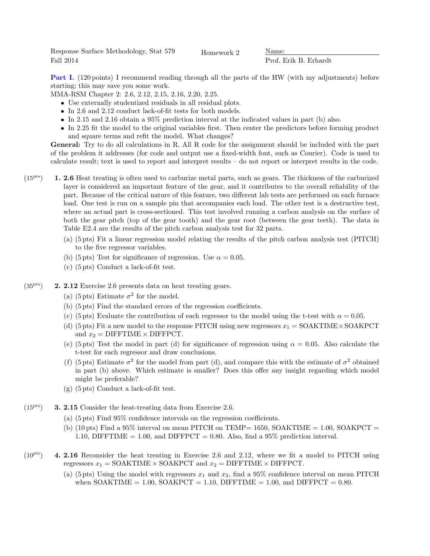Response Surface Methodology, Stat 579 Fall 2014

Homework 2 Name:

Prof. Erik B. Erhardt

Part I. (120 points) I recommend reading through all the parts of the HW (with my adjustments) before starting; this may save you some work.

MMA-RSM Chapter 2: 2.6, 2.12, 2.15, 2.16, 2.20, 2.25.

- Use externally studentized residuals in all residual plots.
- In 2.6 and 2.12 conduct lack-of-fit tests for both models.
- In 2.15 and 2.16 obtain a 95% prediction interval at the indicated values in part (b) also.
- $\bullet$  In 2.25 fit the model to the original variables first. Then center the predictors before forming product and square terms and refit the model. What changes?

General: Try to do all calculations in R. All R code for the assignment should be included with the part of the problem it addresses (for code and output use a fixed-width font, such as Courier). Code is used to calculate result; text is used to report and interpret results – do not report or interpret results in the code.

- $(15<sup>pts</sup>)$  **1. 2.6** Heat treating is often used to carburize metal parts, such as gears. The thickness of the carburized layer is considered an important feature of the gear, and it contributes to the overall reliability of the part. Because of the critical nature of this feature, two different lab tests are performed on each furnace load. One test is run on a sample pin that accompanies each load. The other test is a destructive test, where an actual part is cross-sectioned. This test involved running a carbon analysis on the surface of both the gear pitch (top of the gear tooth) and the gear root (between the gear teeth). The data in Table E2.4 are the results of the pitch carbon analysis test for 32 parts.
	- (a) (5 pts) Fit a linear regression model relating the results of the pitch carbon analysis test (PITCH) to the five regressor variables.
	- (b) (5 pts) Test for significance of regression. Use  $\alpha = 0.05$ .
	- (c) (5 pts) Conduct a lack-of-fit test.
- $(35<sup>pts</sup>)$  **2. 2.12** Exercise 2.6 presents data on heat treating gears.
	- (a) (5 pts) Estimate  $\sigma^2$  for the model.
	- (b) (5 pts) Find the standard errors of the regression coefficients.
	- (c) (5 pts) Evaluate the contribution of each regressor to the model using the t-test with  $\alpha = 0.05$ .
	- (d) (5 pts) Fit a new model to the response PITCH using new regressors  $x_1 = \text{SOAKTIME} \times \text{SOAKPCT}$ and  $x_2 =$  DIFFTIME  $\times$  DIFFPCT.
	- (e) (5 pts) Test the model in part (d) for significance of regression using  $\alpha = 0.05$ . Also calculate the t-test for each regressor and draw conclusions.
	- (f) (5 pts) Estimate  $\sigma^2$  for the model from part (d), and compare this with the estimate of  $\sigma^2$  obtained in part (b) above. Which estimate is smaller? Does this offer any insight regarding which model might be preferable?
	- (g) (5 pts) Conduct a lack-of-fit test.
- $(15<sup>pts</sup>)$  **3. 2.15** Consider the heat-treating data from Exercise 2.6.
	- (a) (5 pts) Find 95% confidence intervals on the regression coefficients.
	- (b) (10 pts) Find a 95% interval on mean PITCH on TEMP= 1650, SOAKTIME = 1.00, SOAKPCT = 1.10, DIFFTIME = 1.00, and DIFFPCT = 0.80. Also, find a 95% prediction interval.
- $(10<sup>pts</sup>)$  4. 2.16 Reconsider the heat treating in Exercise 2.6 and 2.12, where we fit a model to PITCH using regressors  $x_1 = \text{SOAKTIME} \times \text{SOAKPCT}$  and  $x_2 = \text{DIFFIME} \times \text{DIFFCT}$ .
	- (a) (5 pts) Using the model with regressors  $x_1$  and  $x_2$ , find a 95% confidence interval on mean PITCH when SOAKTIME =  $1.00$ , SOAKPCT =  $1.10$ , DIFFTIME =  $1.00$ , and DIFFPCT = 0.80.